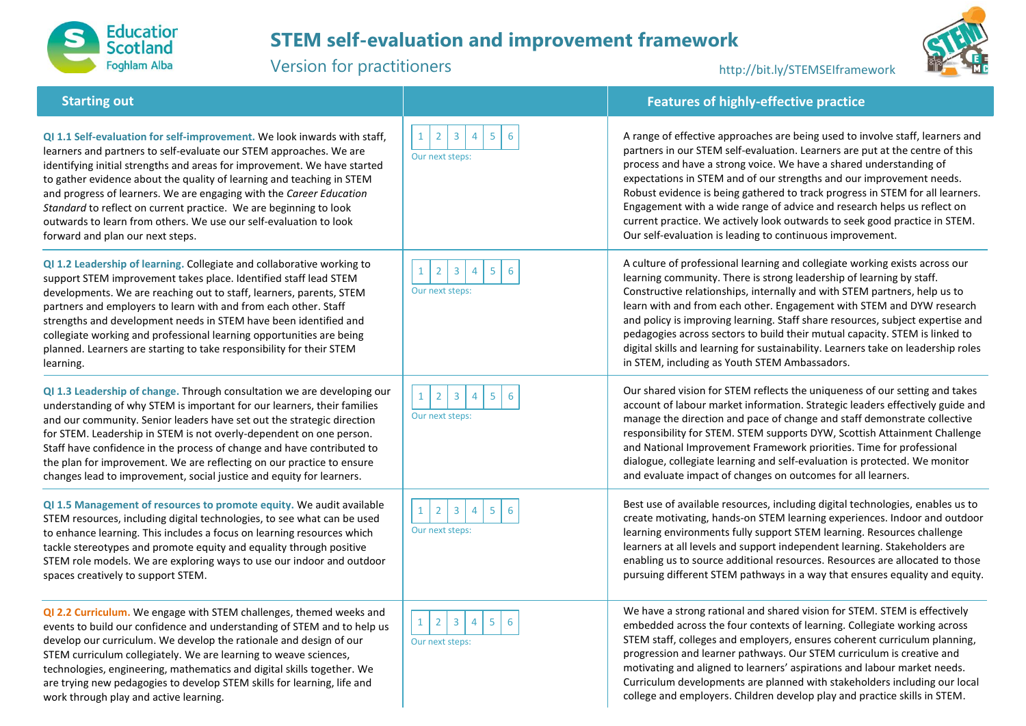

learning.

## **STEM self-evaluation and improvement framework**

**Starting out Features of highly-effective practice**

Version for practitioners

http://bit.ly/STEMSEIframework



 $1 \mid 2 \mid 3 \mid 4 \mid 5 \mid 6$ Our next steps:  $1 \mid 2 \mid 3 \mid 4 \mid 5 \mid 6$ Our next steps:  $1 \mid 2 \mid 3 \mid 4 \mid 5 \mid 6$ Our next steps:  $1 \mid 2 \mid 3 \mid 4 \mid 5 \mid 6$ Our next steps: **QI 1.1 Self-evaluation for self-improvement.** We look inwards with staff, learners and partners to self-evaluate our STEM approaches. We are identifying initial strengths and areas for improvement. We have started to gather evidence about the quality of learning and teaching in STEM and progress of learners. We are engaging with the *Career Education Standard* to reflect on current practice. We are beginning to look outwards to learn from others. We use our self-evaluation to look forward and plan our next steps. **QI 1.2 Leadership of learning.** Collegiate and collaborative working to support STEM improvement takes place. Identified staff lead STEM developments. We are reaching out to staff, learners, parents, STEM partners and employers to learn with and from each other. Staff strengths and development needs in STEM have been identified and collegiate working and professional learning opportunities are being planned. Learners are starting to take responsibility for their STEM **QI 1.3 Leadership of change.** Through consultation we are developing our understanding of why STEM is important for our learners, their families and our community. Senior leaders have set out the strategic direction for STEM. Leadership in STEM is not overly-dependent on one person. Staff have confidence in the process of change and have contributed to the plan for improvement. We are reflecting on our practice to ensure changes lead to improvement, social justice and equity for learners. **QI 1.5 Management of resources to promote equity.** We audit available STEM resources, including digital technologies, to see what can be used to enhance learning. This includes a focus on learning resources which tackle stereotypes and promote equity and equality through positive STEM role models. We are exploring ways to use our indoor and outdoor spaces creatively to support STEM. **QI 2.2 Curriculum.** We engage with STEM challenges, themed weeks and events to build our confidence and understanding of STEM and to help us develop our curriculum. We develop the rationale and design of our STEM curriculum collegiately. We are learning to weave sciences, technologies, engineering, mathematics and digital skills together. We are trying new pedagogies to develop STEM skills for learning, life and work through play and active learning. A range of effective approaches are being used to involve staff, learners and partners in our STEM self-evaluation. Learners are put at the centre of this process and have a strong voice. We have a shared understanding of expectations in STEM and of our strengths and our improvement needs. Robust evidence is being gathered to track progress in STEM for all learners. Engagement with a wide range of advice and research helps us reflect on current practice. We actively look outwards to seek good practice in STEM. Our self-evaluation is leading to continuous improvement. A culture of professional learning and collegiate working exists across our learning community. There is strong leadership of learning by staff. Constructive relationships, internally and with STEM partners, help us to learn with and from each other. Engagement with STEM and DYW research and policy is improving learning. Staff share resources, subject expertise and pedagogies across sectors to build their mutual capacity. STEM is linked to digital skills and learning for sustainability. Learners take on leadership roles in STEM, including as Youth STEM Ambassadors. Our shared vision for STEM reflects the uniqueness of our setting and takes account of labour market information. Strategic leaders effectively guide and manage the direction and pace of change and staff demonstrate collective responsibility for STEM. STEM supports DYW, Scottish Attainment Challenge and National Improvement Framework priorities. Time for professional dialogue, collegiate learning and self-evaluation is protected. We monitor and evaluate impact of changes on outcomes for all learners. Best use of available resources, including digital technologies, enables us to create motivating, hands-on STEM learning experiences. Indoor and outdoor learning environments fully support STEM learning. Resources challenge learners at all levels and support independent learning. Stakeholders are enabling us to source additional resources. Resources are allocated to those pursuing different STEM pathways in a way that ensures equality and equity. We have a strong rational and shared vision for STEM. STEM is effectively embedded across the four contexts of learning. Collegiate working across STEM staff, colleges and employers, ensures coherent curriculum planning, progression and learner pathways. Our STEM curriculum is creative and motivating and aligned to learners' aspirations and labour market needs. Curriculum developments are planned with stakeholders including our local college and employers. Children develop play and practice skills in STEM.  $1 \mid 2 \mid 3 \mid 4 \mid 5 \mid 6$ Our next steps: